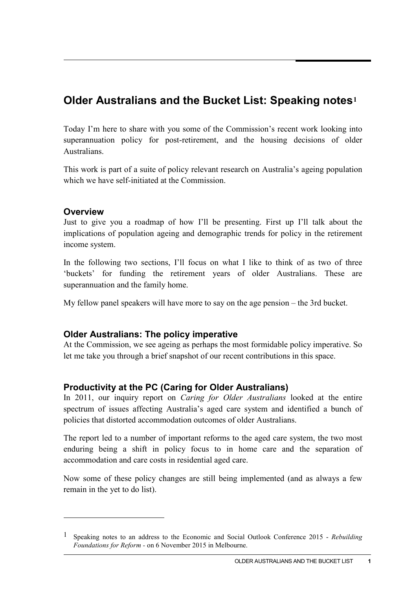# **Older Australians and the Bucket List: Speaking notes[1](#page-0-0)**

Today I'm here to share with you some of the Commission's recent work looking into superannuation policy for post-retirement, and the housing decisions of older Australians.

This work is part of a suite of policy relevant research on Australia's ageing population which we have self-initiated at the Commission.

#### **Overview**

-

Just to give you a roadmap of how I'll be presenting. First up I'll talk about the implications of population ageing and demographic trends for policy in the retirement income system.

In the following two sections, I'll focus on what I like to think of as two of three 'buckets' for funding the retirement years of older Australians. These are superannuation and the family home.

My fellow panel speakers will have more to say on the age pension – the 3rd bucket.

## **Older Australians: The policy imperative**

At the Commission, we see ageing as perhaps the most formidable policy imperative. So let me take you through a brief snapshot of our recent contributions in this space.

## **Productivity at the PC (Caring for Older Australians)**

In 2011, our inquiry report on *Caring for Older Australians* looked at the entire spectrum of issues affecting Australia's aged care system and identified a bunch of policies that distorted accommodation outcomes of older Australians.

The report led to a number of important reforms to the aged care system, the two most enduring being a shift in policy focus to in home care and the separation of accommodation and care costs in residential aged care.

Now some of these policy changes are still being implemented (and as always a few remain in the yet to do list).

<span id="page-0-0"></span><sup>1</sup> Speaking notes to an address to the Economic and Social Outlook Conference 2015 - *Rebuilding Foundations for Reform -* on 6 November 2015 in Melbourne.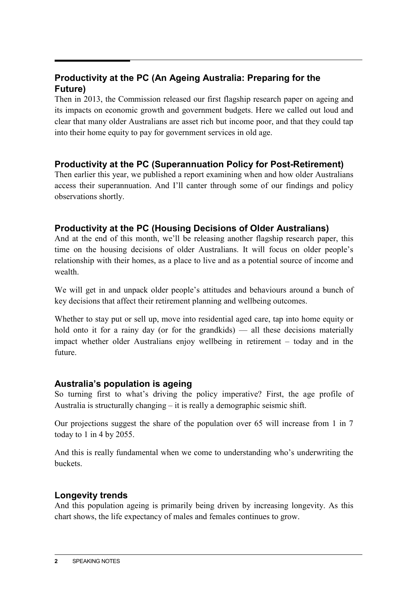# **Productivity at the PC (An Ageing Australia: Preparing for the Future)**

Then in 2013, the Commission released our first flagship research paper on ageing and its impacts on economic growth and government budgets. Here we called out loud and clear that many older Australians are asset rich but income poor, and that they could tap into their home equity to pay for government services in old age.

# **Productivity at the PC (Superannuation Policy for Post-Retirement)**

Then earlier this year, we published a report examining when and how older Australians access their superannuation. And I'll canter through some of our findings and policy observations shortly.

# **Productivity at the PC (Housing Decisions of Older Australians)**

And at the end of this month, we'll be releasing another flagship research paper, this time on the housing decisions of older Australians. It will focus on older people's relationship with their homes, as a place to live and as a potential source of income and wealth.

We will get in and unpack older people's attitudes and behaviours around a bunch of key decisions that affect their retirement planning and wellbeing outcomes.

Whether to stay put or sell up, move into residential aged care, tap into home equity or hold onto it for a rainy day (or for the grandkids) — all these decisions materially impact whether older Australians enjoy wellbeing in retirement – today and in the future.

## **Australia's population is ageing**

So turning first to what's driving the policy imperative? First, the age profile of Australia is structurally changing – it is really a demographic seismic shift.

Our projections suggest the share of the population over 65 will increase from 1 in 7 today to 1 in 4 by 2055.

And this is really fundamental when we come to understanding who's underwriting the buckets.

# **Longevity trends**

And this population ageing is primarily being driven by increasing longevity. As this chart shows, the life expectancy of males and females continues to grow.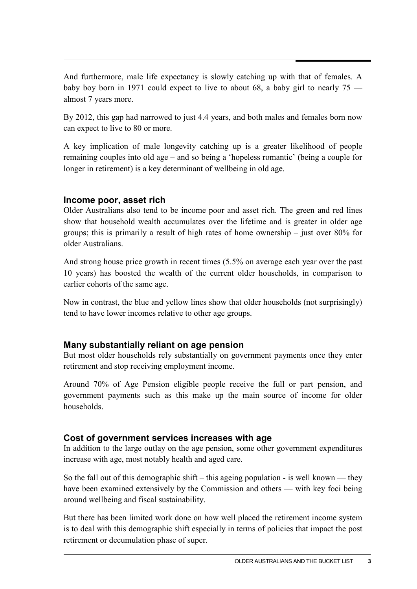And furthermore, male life expectancy is slowly catching up with that of females. A baby boy born in 1971 could expect to live to about 68, a baby girl to nearly 75 almost 7 years more.

By 2012, this gap had narrowed to just 4.4 years, and both males and females born now can expect to live to 80 or more.

A key implication of male longevity catching up is a greater likelihood of people remaining couples into old age – and so being a 'hopeless romantic' (being a couple for longer in retirement) is a key determinant of wellbeing in old age.

## **Income poor, asset rich**

Older Australians also tend to be income poor and asset rich. The green and red lines show that household wealth accumulates over the lifetime and is greater in older age groups; this is primarily a result of high rates of home ownership – just over 80% for older Australians.

And strong house price growth in recent times (5.5% on average each year over the past 10 years) has boosted the wealth of the current older households, in comparison to earlier cohorts of the same age.

Now in contrast, the blue and yellow lines show that older households (not surprisingly) tend to have lower incomes relative to other age groups.

# **Many substantially reliant on age pension**

But most older households rely substantially on government payments once they enter retirement and stop receiving employment income.

Around 70% of Age Pension eligible people receive the full or part pension, and government payments such as this make up the main source of income for older households.

# **Cost of government services increases with age**

In addition to the large outlay on the age pension, some other government expenditures increase with age, most notably health and aged care.

So the fall out of this demographic shift – this ageing population - is well known — they have been examined extensively by the Commission and others — with key foci being around wellbeing and fiscal sustainability.

But there has been limited work done on how well placed the retirement income system is to deal with this demographic shift especially in terms of policies that impact the post retirement or decumulation phase of super.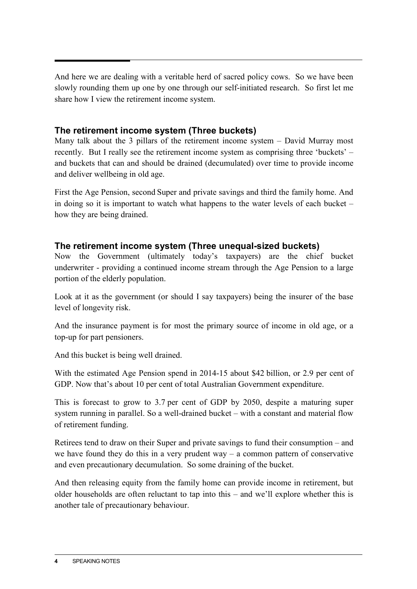And here we are dealing with a veritable herd of sacred policy cows. So we have been slowly rounding them up one by one through our self-initiated research. So first let me share how I view the retirement income system.

## **The retirement income system (Three buckets)**

Many talk about the 3 pillars of the retirement income system – David Murray most recently. But I really see the retirement income system as comprising three 'buckets' – and buckets that can and should be drained (decumulated) over time to provide income and deliver wellbeing in old age.

First the Age Pension, second Super and private savings and third the family home. And in doing so it is important to watch what happens to the water levels of each bucket – how they are being drained.

## **The retirement income system (Three unequal-sized buckets)**

Now the Government (ultimately today's taxpayers) are the chief bucket underwriter - providing a continued income stream through the Age Pension to a large portion of the elderly population.

Look at it as the government (or should I say taxpayers) being the insurer of the base level of longevity risk.

And the insurance payment is for most the primary source of income in old age, or a top-up for part pensioners.

And this bucket is being well drained.

With the estimated Age Pension spend in 2014-15 about \$42 billion, or 2.9 per cent of GDP. Now that's about 10 per cent of total Australian Government expenditure.

This is forecast to grow to 3.7 per cent of GDP by 2050, despite a maturing super system running in parallel. So a well-drained bucket – with a constant and material flow of retirement funding.

Retirees tend to draw on their Super and private savings to fund their consumption – and we have found they do this in a very prudent way  $-$  a common pattern of conservative and even precautionary decumulation. So some draining of the bucket.

And then releasing equity from the family home can provide income in retirement, but older households are often reluctant to tap into this – and we'll explore whether this is another tale of precautionary behaviour.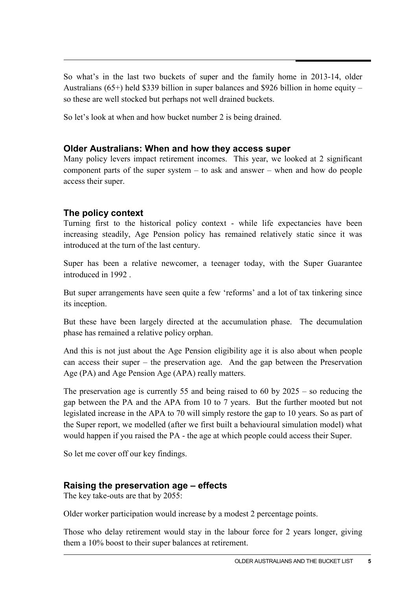So what's in the last two buckets of super and the family home in 2013-14, older Australians (65+) held \$339 billion in super balances and \$926 billion in home equity – so these are well stocked but perhaps not well drained buckets.

So let's look at when and how bucket number 2 is being drained.

## **Older Australians: When and how they access super**

Many policy levers impact retirement incomes. This year, we looked at 2 significant component parts of the super system – to ask and answer – when and how do people access their super.

## **The policy context**

Turning first to the historical policy context - while life expectancies have been increasing steadily, Age Pension policy has remained relatively static since it was introduced at the turn of the last century.

Super has been a relative newcomer, a teenager today, with the Super Guarantee introduced in 1992 .

But super arrangements have seen quite a few 'reforms' and a lot of tax tinkering since its inception.

But these have been largely directed at the accumulation phase. The decumulation phase has remained a relative policy orphan.

And this is not just about the Age Pension eligibility age it is also about when people can access their super – the preservation age. And the gap between the Preservation Age (PA) and Age Pension Age (APA) really matters.

The preservation age is currently 55 and being raised to 60 by 2025 – so reducing the gap between the PA and the APA from 10 to 7 years. But the further mooted but not legislated increase in the APA to 70 will simply restore the gap to 10 years. So as part of the Super report, we modelled (after we first built a behavioural simulation model) what would happen if you raised the PA - the age at which people could access their Super.

So let me cover off our key findings.

## **Raising the preservation age – effects**

The key take-outs are that by 2055:

Older worker participation would increase by a modest 2 percentage points.

Those who delay retirement would stay in the labour force for 2 years longer, giving them a 10% boost to their super balances at retirement.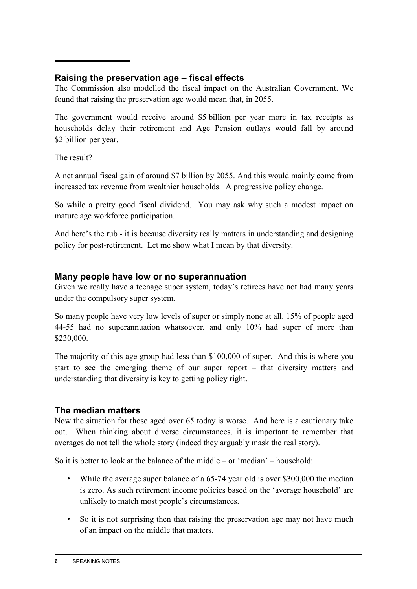## **Raising the preservation age – fiscal effects**

The Commission also modelled the fiscal impact on the Australian Government. We found that raising the preservation age would mean that, in 2055.

The government would receive around \$5 billion per year more in tax receipts as households delay their retirement and Age Pension outlays would fall by around \$2 billion per year.

The result?

A net annual fiscal gain of around \$7 billion by 2055. And this would mainly come from increased tax revenue from wealthier households. A progressive policy change.

So while a pretty good fiscal dividend. You may ask why such a modest impact on mature age workforce participation.

And here's the rub - it is because diversity really matters in understanding and designing policy for post-retirement. Let me show what I mean by that diversity.

## **Many people have low or no superannuation**

Given we really have a teenage super system, today's retirees have not had many years under the compulsory super system.

So many people have very low levels of super or simply none at all. 15% of people aged 44-55 had no superannuation whatsoever, and only 10% had super of more than \$230,000.

The majority of this age group had less than \$100,000 of super. And this is where you start to see the emerging theme of our super report – that diversity matters and understanding that diversity is key to getting policy right.

# **The median matters**

Now the situation for those aged over 65 today is worse. And here is a cautionary take out. When thinking about diverse circumstances, it is important to remember that averages do not tell the whole story (indeed they arguably mask the real story).

So it is better to look at the balance of the middle – or 'median' – household:

- While the average super balance of a 65-74 year old is over \$300,000 the median is zero. As such retirement income policies based on the 'average household' are unlikely to match most people's circumstances.
- So it is not surprising then that raising the preservation age may not have much of an impact on the middle that matters.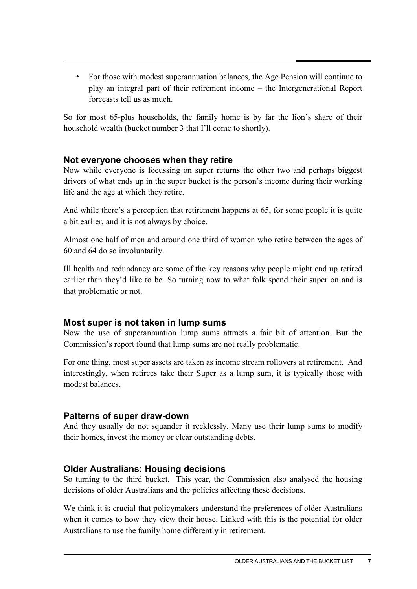• For those with modest superannuation balances, the Age Pension will continue to play an integral part of their retirement income – the Intergenerational Report forecasts tell us as much.

So for most 65-plus households, the family home is by far the lion's share of their household wealth (bucket number 3 that I'll come to shortly).

## **Not everyone chooses when they retire**

Now while everyone is focussing on super returns the other two and perhaps biggest drivers of what ends up in the super bucket is the person's income during their working life and the age at which they retire.

And while there's a perception that retirement happens at 65, for some people it is quite a bit earlier, and it is not always by choice.

Almost one half of men and around one third of women who retire between the ages of 60 and 64 do so involuntarily.

Ill health and redundancy are some of the key reasons why people might end up retired earlier than they'd like to be. So turning now to what folk spend their super on and is that problematic or not.

# **Most super is not taken in lump sums**

Now the use of superannuation lump sums attracts a fair bit of attention. But the Commission's report found that lump sums are not really problematic.

For one thing, most super assets are taken as income stream rollovers at retirement. And interestingly, when retirees take their Super as a lump sum, it is typically those with modest balances.

# **Patterns of super draw-down**

And they usually do not squander it recklessly. Many use their lump sums to modify their homes, invest the money or clear outstanding debts.

# **Older Australians: Housing decisions**

So turning to the third bucket. This year, the Commission also analysed the housing decisions of older Australians and the policies affecting these decisions.

We think it is crucial that policymakers understand the preferences of older Australians when it comes to how they view their house. Linked with this is the potential for older Australians to use the family home differently in retirement.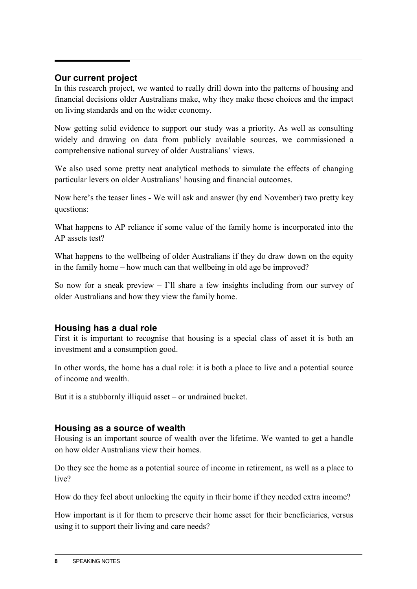## **Our current project**

In this research project, we wanted to really drill down into the patterns of housing and financial decisions older Australians make, why they make these choices and the impact on living standards and on the wider economy.

Now getting solid evidence to support our study was a priority. As well as consulting widely and drawing on data from publicly available sources, we commissioned a comprehensive national survey of older Australians' views.

We also used some pretty neat analytical methods to simulate the effects of changing particular levers on older Australians' housing and financial outcomes.

Now here's the teaser lines - We will ask and answer (by end November) two pretty key questions:

What happens to AP reliance if some value of the family home is incorporated into the AP assets test?

What happens to the wellbeing of older Australians if they do draw down on the equity in the family home – how much can that wellbeing in old age be improved?

So now for a sneak preview – I'll share a few insights including from our survey of older Australians and how they view the family home.

# **Housing has a dual role**

First it is important to recognise that housing is a special class of asset it is both an investment and a consumption good.

In other words, the home has a dual role: it is both a place to live and a potential source of income and wealth.

But it is a stubbornly illiquid asset – or undrained bucket.

## **Housing as a source of wealth**

Housing is an important source of wealth over the lifetime. We wanted to get a handle on how older Australians view their homes.

Do they see the home as a potential source of income in retirement, as well as a place to live?

How do they feel about unlocking the equity in their home if they needed extra income?

How important is it for them to preserve their home asset for their beneficiaries, versus using it to support their living and care needs?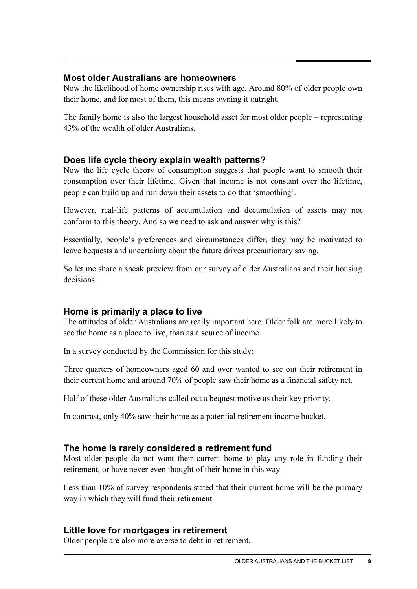#### **Most older Australians are homeowners**

Now the likelihood of home ownership rises with age. Around 80% of older people own their home, and for most of them, this means owning it outright.

The family home is also the largest household asset for most older people – representing 43% of the wealth of older Australians.

## **Does life cycle theory explain wealth patterns?**

Now the life cycle theory of consumption suggests that people want to smooth their consumption over their lifetime. Given that income is not constant over the lifetime, people can build up and run down their assets to do that 'smoothing'.

However, real-life patterns of accumulation and decumulation of assets may not conform to this theory. And so we need to ask and answer why is this?

Essentially, people's preferences and circumstances differ, they may be motivated to leave bequests and uncertainty about the future drives precautionary saving.

So let me share a sneak preview from our survey of older Australians and their housing decisions.

## **Home is primarily a place to live**

The attitudes of older Australians are really important here. Older folk are more likely to see the home as a place to live, than as a source of income.

In a survey conducted by the Commission for this study:

Three quarters of homeowners aged 60 and over wanted to see out their retirement in their current home and around 70% of people saw their home as a financial safety net.

Half of these older Australians called out a bequest motive as their key priority.

In contrast, only 40% saw their home as a potential retirement income bucket.

# **The home is rarely considered a retirement fund**

Most older people do not want their current home to play any role in funding their retirement, or have never even thought of their home in this way.

Less than 10% of survey respondents stated that their current home will be the primary way in which they will fund their retirement.

## **Little love for mortgages in retirement**

Older people are also more averse to debt in retirement.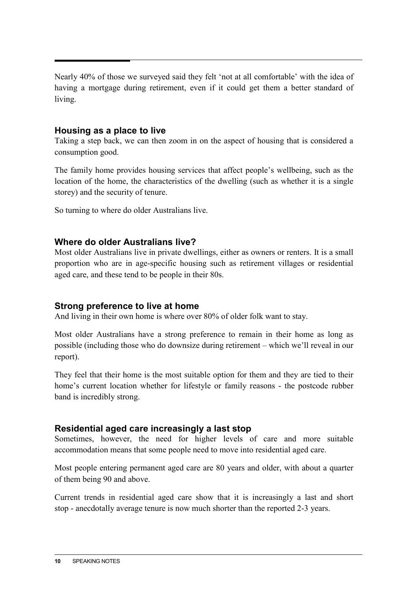Nearly 40% of those we surveyed said they felt 'not at all comfortable' with the idea of having a mortgage during retirement, even if it could get them a better standard of living.

#### **Housing as a place to live**

Taking a step back, we can then zoom in on the aspect of housing that is considered a consumption good.

The family home provides housing services that affect people's wellbeing, such as the location of the home, the characteristics of the dwelling (such as whether it is a single storey) and the security of tenure.

So turning to where do older Australians live.

## **Where do older Australians live?**

Most older Australians live in private dwellings, either as owners or renters. It is a small proportion who are in age-specific housing such as retirement villages or residential aged care, and these tend to be people in their 80s.

## **Strong preference to live at home**

And living in their own home is where over 80% of older folk want to stay.

Most older Australians have a strong preference to remain in their home as long as possible (including those who do downsize during retirement – which we'll reveal in our report).

They feel that their home is the most suitable option for them and they are tied to their home's current location whether for lifestyle or family reasons - the postcode rubber band is incredibly strong.

#### **Residential aged care increasingly a last stop**

Sometimes, however, the need for higher levels of care and more suitable accommodation means that some people need to move into residential aged care.

Most people entering permanent aged care are 80 years and older, with about a quarter of them being 90 and above.

Current trends in residential aged care show that it is increasingly a last and short stop - anecdotally average tenure is now much shorter than the reported 2-3 years.